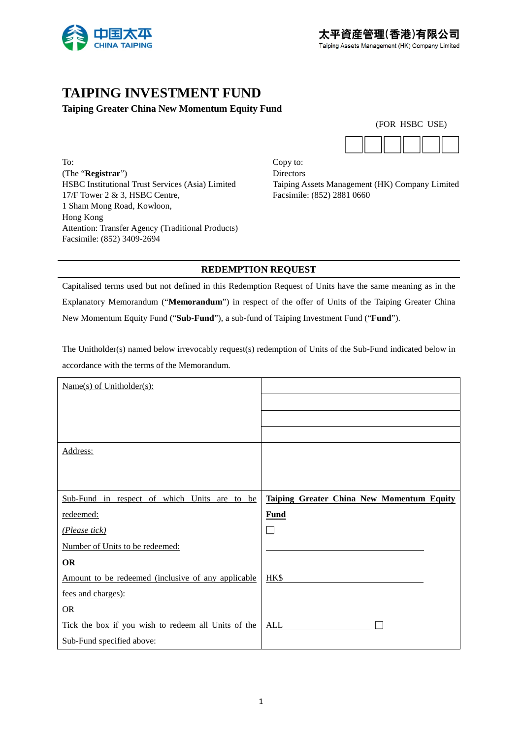

# **TAIPING INVESTMENT FUND**

### **Taiping Greater China New Momentum Equity Fund**

To: Copy to: (The "**Registrar**") Directors 17/F Tower 2 & 3, HSBC Centre, Facsimile: (852) 2881 0660 1 Sham Mong Road, Kowloon, Hong Kong Attention: Transfer Agency (Traditional Products) Facsimile: (852) 3409-2694

|  | (FOR HSBC USE) |  |
|--|----------------|--|
|  |                |  |



HSBC Institutional Trust Services (Asia) Limited Taiping Assets Management (HK) Company Limited

### **REDEMPTION REQUEST**

Capitalised terms used but not defined in this Redemption Request of Units have the same meaning as in the Explanatory Memorandum ("**Memorandum**") in respect of the offer of Units of the Taiping Greater China New Momentum Equity Fund ("**Sub-Fund**"), a sub-fund of Taiping Investment Fund ("**Fund**").

The Unitholder(s) named below irrevocably request(s) redemption of Units of the Sub-Fund indicated below in accordance with the terms of the Memorandum.

| $Name(s)$ of Unitholder(s):                         |                                                  |
|-----------------------------------------------------|--------------------------------------------------|
|                                                     |                                                  |
|                                                     |                                                  |
|                                                     |                                                  |
| Address:                                            |                                                  |
|                                                     |                                                  |
|                                                     |                                                  |
| Sub-Fund in respect of which Units are to be        | <b>Taiping Greater China New Momentum Equity</b> |
| redeemed:                                           | Fund                                             |
| (Please tick)                                       |                                                  |
| Number of Units to be redeemed:                     |                                                  |
| <b>OR</b>                                           |                                                  |
| Amount to be redeemed (inclusive of any applicable  | HK\$                                             |
| fees and charges):                                  |                                                  |
| <b>OR</b>                                           |                                                  |
|                                                     |                                                  |
| Tick the box if you wish to redeem all Units of the | <b>ALL</b>                                       |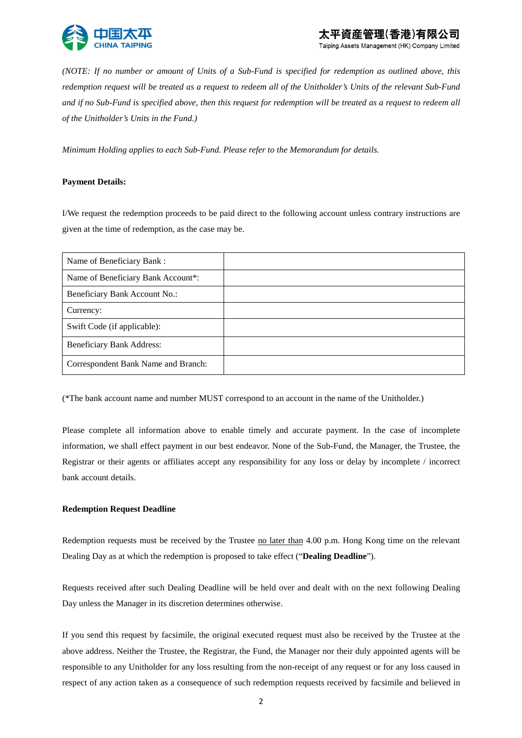

Taiping Assets Management (HK) Company Limited

*(NOTE: If no number or amount of Units of a Sub-Fund is specified for redemption as outlined above, this redemption request will be treated as a request to redeem all of the Unitholder's Units of the relevant Sub-Fund and if no Sub-Fund is specified above, then this request for redemption will be treated as a request to redeem all of the Unitholder's Units in the Fund.)* 

*Minimum Holding applies to each Sub-Fund. Please refer to the Memorandum for details.* 

#### **Payment Details:**

I/We request the redemption proceeds to be paid direct to the following account unless contrary instructions are given at the time of redemption, as the case may be.

| Name of Beneficiary Bank:           |  |
|-------------------------------------|--|
| Name of Beneficiary Bank Account*:  |  |
| Beneficiary Bank Account No.:       |  |
| Currency:                           |  |
| Swift Code (if applicable):         |  |
| <b>Beneficiary Bank Address:</b>    |  |
| Correspondent Bank Name and Branch: |  |

(\*The bank account name and number MUST correspond to an account in the name of the Unitholder.)

Please complete all information above to enable timely and accurate payment. In the case of incomplete information, we shall effect payment in our best endeavor. None of the Sub-Fund, the Manager, the Trustee, the Registrar or their agents or affiliates accept any responsibility for any loss or delay by incomplete / incorrect bank account details.

#### **Redemption Request Deadline**

Redemption requests must be received by the Trustee <u>no later than</u> 4.00 p.m. Hong Kong time on the relevant Dealing Day as at which the redemption is proposed to take effect ("**Dealing Deadline**").

Requests received after such Dealing Deadline will be held over and dealt with on the next following Dealing Day unless the Manager in its discretion determines otherwise.

If you send this request by facsimile, the original executed request must also be received by the Trustee at the above address. Neither the Trustee, the Registrar, the Fund, the Manager nor their duly appointed agents will be responsible to any Unitholder for any loss resulting from the non-receipt of any request or for any loss caused in respect of any action taken as a consequence of such redemption requests received by facsimile and believed in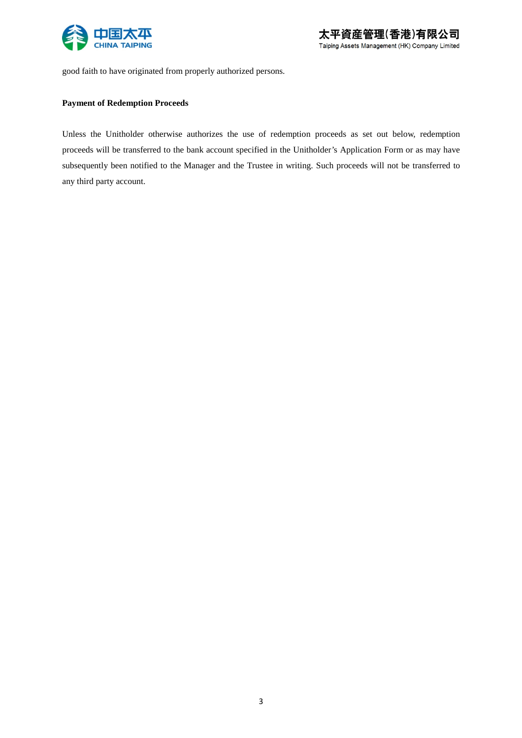

good faith to have originated from properly authorized persons.

#### **Payment of Redemption Proceeds**

Unless the Unitholder otherwise authorizes the use of redemption proceeds as set out below, redemption proceeds will be transferred to the bank account specified in the Unitholder's Application Form or as may have subsequently been notified to the Manager and the Trustee in writing. Such proceeds will not be transferred to any third party account.